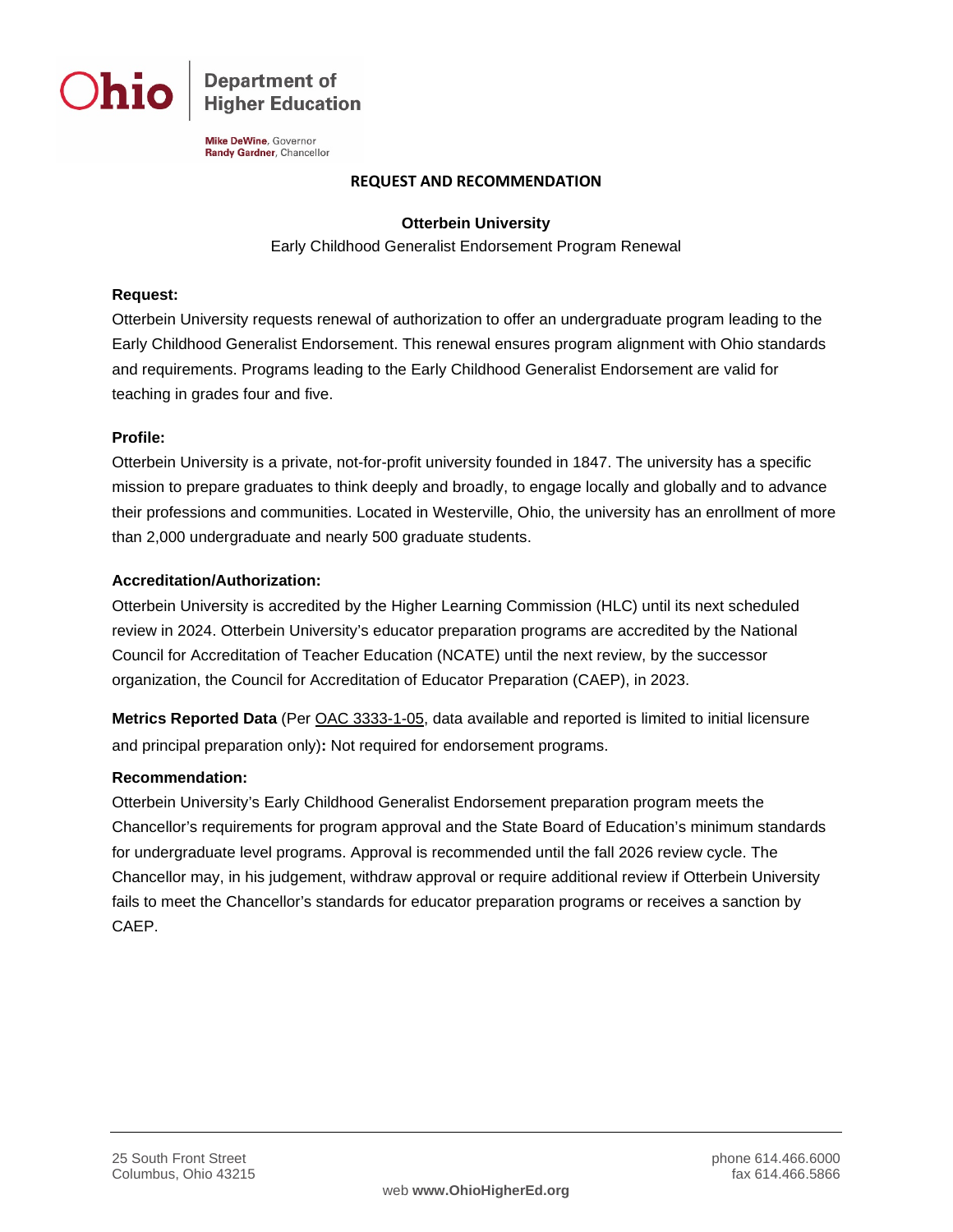

**Department of Higher Education** 

Mike DeWine, Governor Randy Gardner, Chancellor

### **REQUEST AND RECOMMENDATION**

# **Otterbein University**

Early Childhood Generalist Endorsement Program Renewal

# **Request:**

Otterbein University requests renewal of authorization to offer an undergraduate program leading to the Early Childhood Generalist Endorsement. This renewal ensures program alignment with Ohio standards and requirements. Programs leading to the Early Childhood Generalist Endorsement are valid for teaching in grades four and five.

### **Profile:**

Otterbein University is a private, not-for-profit university founded in 1847. The university has a specific mission to prepare graduates to think deeply and broadly, to engage locally and globally and to advance their professions and communities. Located in Westerville, Ohio, the university has an enrollment of more than 2,000 undergraduate and nearly 500 graduate students.

### **Accreditation/Authorization:**

Otterbein University is accredited by the Higher Learning Commission (HLC) until its next scheduled review in 2024. Otterbein University's educator preparation programs are accredited by the National Council for Accreditation of Teacher Education (NCATE) until the next review, by the successor organization, the Council for Accreditation of Educator Preparation (CAEP), in 2023.

**Metrics Reported Data** (Per [OAC 3333-1-05,](http://codes.ohio.gov/oac/3333-1-05) data available and reported is limited to initial licensure and principal preparation only)**:** Not required for endorsement programs.

# **Recommendation:**

Otterbein University's Early Childhood Generalist Endorsement preparation program meets the Chancellor's requirements for program approval and the State Board of Education's minimum standards for undergraduate level programs. Approval is recommended until the fall 2026 review cycle. The Chancellor may, in his judgement, withdraw approval or require additional review if Otterbein University fails to meet the Chancellor's standards for educator preparation programs or receives a sanction by CAEP.